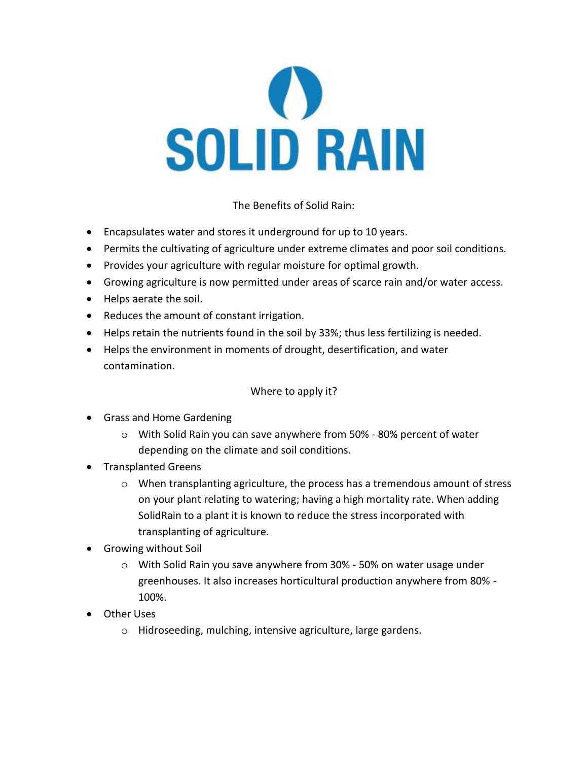

The Benefits of Solid Rain:

- Encapsulates water and stores it underground for up to 10 years.
- Permits the cultivating of agriculture under extreme climates and poor soil conditions.
- Provides your agriculture with regular moisture for optimal growth.
- Growing agriculture is now permitted under areas of scarce rain and/or water access.
- Helps aerate the soil.
- Reduces the amount of constant irrigation.
- Helps retain the nutrients found in the soil by 33%; thus less fertilizing is needed.
- Helps the environment in moments of drought, desertification, and water contamination.

Where to apply it?

- Grass and Home Gardening
	- o With Solid Rain you can save anywhere from 50% 80% percent of water depending on the climate and soil conditions.
- Transplanted Greens
	- $\circ$  When transplanting agriculture, the process has a tremendous amount of stress on your plant relating to watering; having a high mortality rate. When adding SolidRain to a plant it is known to reduce the stress incorporated with transplanting of agriculture.
- Growing without Soil
	- o With Solid Rain you save anywhere from 30% 50% on water usage under greenhouses. It also increases horticultural production anywhere from 80% - 100%.
- Other Uses
	- o Hidroseeding, mulching, intensive agriculture, large gardens.